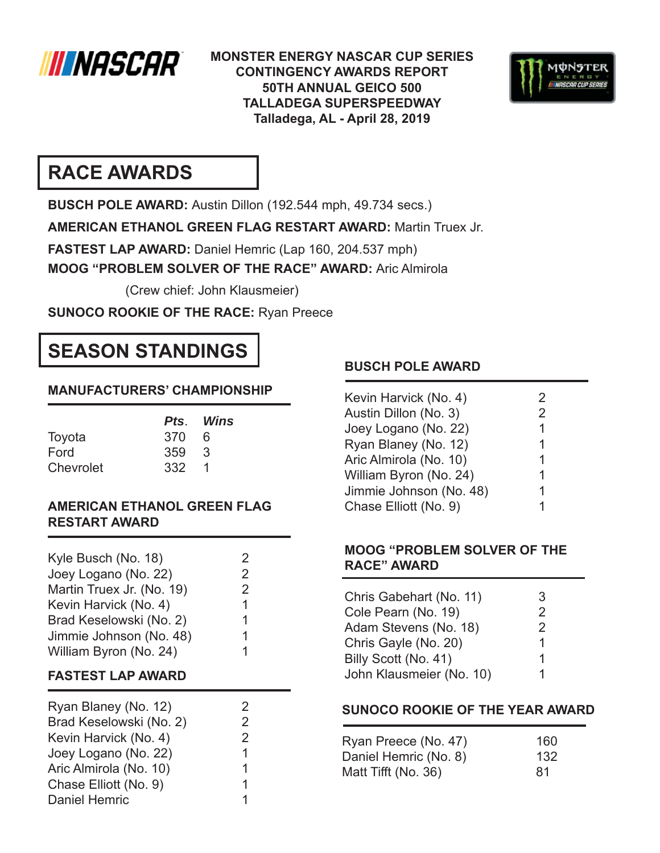

**MONSTER ENERGY NASCAR CUP SERIES CONTINGENCY AWARDS REPORT 50TH ANNUAL GEICO 500 TALLADEGA SUPERSPEEDWAY Talladega, AL - April 28, 2019**



# **RACE AWARDS**

**BUSCH POLE AWARD:** Austin Dillon (192.544 mph, 49.734 secs.)

**AMERICAN ETHANOL GREEN FLAG RESTART AWARD:** Martin Truex Jr.

**FASTEST LAP AWARD:** Daniel Hemric (Lap 160, 204.537 mph)

**MOOG "PROBLEM SOLVER OF THE RACE" AWARD:** Aric Almirola

(Crew chief: John Klausmeier)

**SUNOCO ROOKIE OF THE RACE:** Ryan Preece

# **SEASON STANDINGS**

### **MANUFACTURERS' CHAMPIONSHIP**

|           |       | Pts. Wins |
|-----------|-------|-----------|
| Toyota    | 370   | -6        |
| Ford      | 359 3 |           |
| Chevrolet | 332 1 |           |

### **AMERICAN ETHANOL GREEN FLAG RESTART AWARD**

| Kyle Busch (No. 18)<br>Joey Logano (No. 22)<br>Martin Truex Jr. (No. 19)<br>Kevin Harvick (No. 4) | 2<br>2<br>2<br>1 |  |
|---------------------------------------------------------------------------------------------------|------------------|--|
| Brad Keselowski (No. 2)<br>Jimmie Johnson (No. 48)                                                | 1<br>1           |  |
| William Byron (No. 24)                                                                            |                  |  |
|                                                                                                   |                  |  |

### **FASTEST LAP AWARD**

| Ryan Blaney (No. 12)    | 2             |
|-------------------------|---------------|
| Brad Keselowski (No. 2) | 2             |
| Kevin Harvick (No. 4)   | $\mathcal{P}$ |
| Joey Logano (No. 22)    | 1             |
| Aric Almirola (No. 10)  | 1             |
| Chase Elliott (No. 9)   |               |
| <b>Daniel Hemric</b>    |               |

### **BUSCH POLE AWARD**

| Kevin Harvick (No. 4)   | 2 |
|-------------------------|---|
| Austin Dillon (No. 3)   | 2 |
| Joey Logano (No. 22)    | 1 |
| Ryan Blaney (No. 12)    | 1 |
| Aric Almirola (No. 10)  | 1 |
| William Byron (No. 24)  | 1 |
| Jimmie Johnson (No. 48) | 1 |
| Chase Elliott (No. 9)   | 1 |

### **MOOG "PROBLEM SOLVER OF THE RACE" AWARD**

| Chris Gabehart (No. 11)  | З             |
|--------------------------|---------------|
| Cole Pearn (No. 19)      | $\mathcal{P}$ |
| Adam Stevens (No. 18)    | $\mathcal{P}$ |
| Chris Gayle (No. 20)     |               |
| Billy Scott (No. 41)     |               |
| John Klausmeier (No. 10) |               |

## **SUNOCO ROOKIE OF THE YEAR AWARD**

| Ryan Preece (No. 47)  | 160 |
|-----------------------|-----|
| Daniel Hemric (No. 8) | 132 |
| Matt Tifft (No. 36)   | 81  |